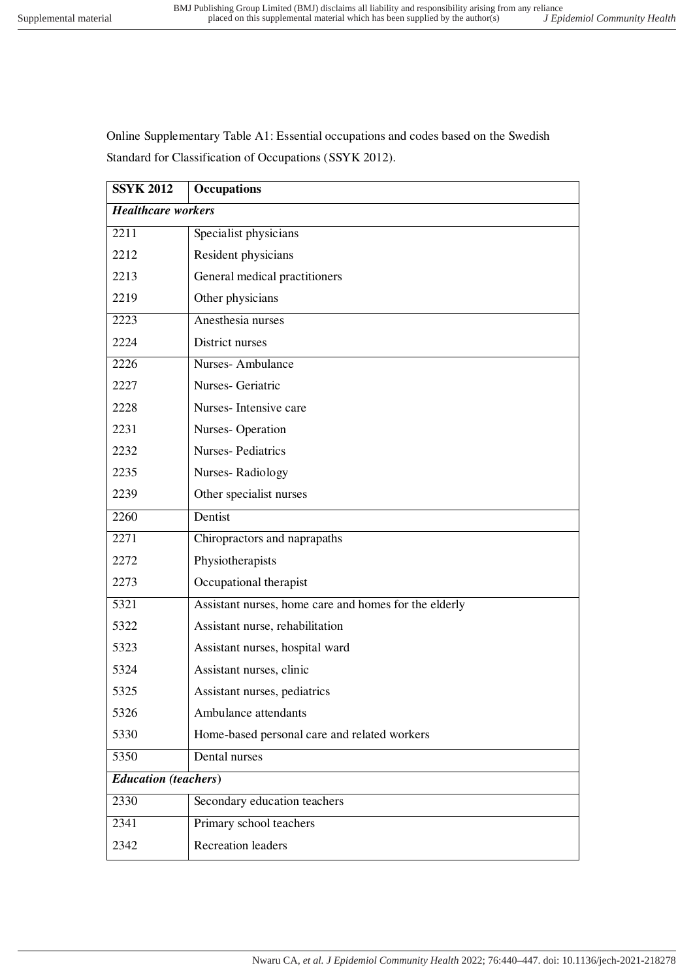Online Supplementary Table A1: Essential occupations and codes based on the Swedish Standard for Classification of Occupations (SSYK 2012).

| <b>SSYK 2012</b>            | <b>Occupations</b>                                    |
|-----------------------------|-------------------------------------------------------|
| <b>Healthcare workers</b>   |                                                       |
| 2211                        | Specialist physicians                                 |
| 2212                        | Resident physicians                                   |
| 2213                        | General medical practitioners                         |
| 2219                        | Other physicians                                      |
| 2223                        | Anesthesia nurses                                     |
| 2224                        | District nurses                                       |
| 2226                        | Nurses-Ambulance                                      |
| 2227                        | Nurses- Geriatric                                     |
| 2228                        | Nurses-Intensive care                                 |
| 2231                        | Nurses-Operation                                      |
| 2232                        | <b>Nurses-Pediatrics</b>                              |
| 2235                        | Nurses-Radiology                                      |
| 2239                        | Other specialist nurses                               |
| 2260                        | Dentist                                               |
| 2271                        | Chiropractors and naprapaths                          |
| 2272                        | Physiotherapists                                      |
| 2273                        | Occupational therapist                                |
| 5321                        | Assistant nurses, home care and homes for the elderly |
| 5322                        | Assistant nurse, rehabilitation                       |
| 5323                        | Assistant nurses, hospital ward                       |
| 5324                        | Assistant nurses, clinic                              |
| 5325                        | Assistant nurses, pediatrics                          |
| 5326                        | Ambulance attendants                                  |
| 5330                        | Home-based personal care and related workers          |
| 5350                        | Dental nurses                                         |
| <b>Education</b> (teachers) |                                                       |
| 2330                        | Secondary education teachers                          |
| 2341                        | Primary school teachers                               |
| 2342                        | <b>Recreation leaders</b>                             |